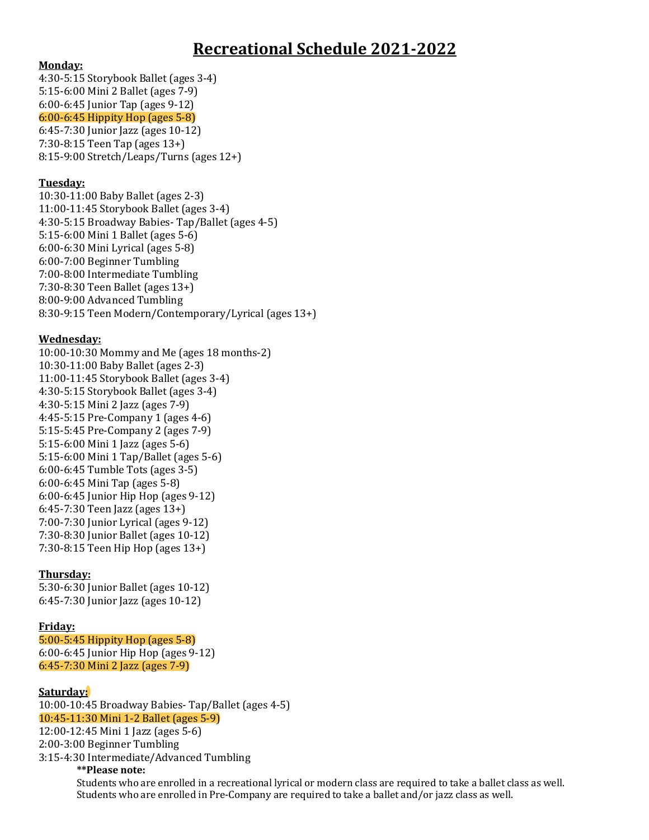## **Recreational Schedule 2021-2022**

#### **Monday:**

4:30-5:15 Storybook Ballet (ages 3-4) 5:15-6:00 Mini 2 Ballet (ages 7-9) 6:00-6:45 Junior Tap (ages 9-12)  $6:00-6:45$  Hippity Hop (ages  $5-8$ ) 6:45-7:30 Junior Jazz (ages 10-12)  $7:30-8:15$  Teen Tap (ages  $13+$ )  $8:15-9:00$  Stretch/Leaps/Turns (ages  $12+)$ 

#### **Tuesday:**

10:30-11:00 Baby Ballet (ages 2-3) 11:00-11:45 Storybook Ballet (ages 3-4) 4:30-5:15 Broadway Babies- Tap/Ballet (ages 4-5) 5:15-6:00 Mini 1 Ballet (ages 5-6) 6:00-6:30 Mini Lyrical (ages 5-8) 6:00-7:00 Beginner Tumbling 7:00-8:00 Intermediate Tumbling 7:30-8:30 Teen Ballet (ages 13+) 8:00-9:00 Advanced Tumbling 8:30-9:15 Teen Modern/Contemporary/Lyrical (ages 13+)

### **Wednesday:**

10:00-10:30 Mommy and Me (ages 18 months-2) 10:30-11:00 Baby Ballet (ages 2-3) 11:00-11:45 Storybook Ballet (ages 3-4) 4:30-5:15 Storybook Ballet (ages 3-4) 4:30-5:15 Mini 2 Jazz (ages 7-9) 4:45-5:15 Pre-Company 1 (ages 4-6) 5:15-5:45 Pre-Company 2 (ages 7-9) 5:15-6:00 Mini 1 Jazz (ages 5-6) 5:15-6:00 Mini 1 Tap/Ballet (ages 5-6) 6:00-6:45 Tumble Tots (ages 3-5) 6:00-6:45 Mini Tap (ages 5-8) 6:00-6:45 Junior Hip Hop (ages 9-12)  $6:45-7:30$  Teen Jazz (ages  $13+$ ) 7:00-7:30 Junior Lyrical (ages 9-12) 7:30-8:30 Junior Ballet (ages 10-12) 7:30-8:15 Teen Hip Hop (ages 13+)

#### **Thursday:**

5:30-6:30 Junior Ballet (ages 10-12) 6:45-7:30 Junior Jazz (ages 10-12)

#### **Friday:**

 $5:00-5:45$  Hippity Hop (ages  $5-8$ ) 6:00-6:45 Junior Hip Hop (ages 9-12) 6:45-7:30 Mini 2 Jazz (ages 7-9)

#### **Saturday:**

10:00-10:45 Broadway Babies- Tap/Ballet (ages 4-5) 10:45-11:30 Mini 1-2 Ballet (ages 5-9) 12:00-12:45 Mini 1 Jazz (ages 5-6) 2:00-3:00 Beginner Tumbling 

3:15-4:30 Intermediate/Advanced Tumbling 

#### **\*\*Please note:**

Students who are enrolled in a recreational lyrical or modern class are required to take a ballet class as well. Students who are enrolled in Pre-Company are required to take a ballet and/or jazz class as well.